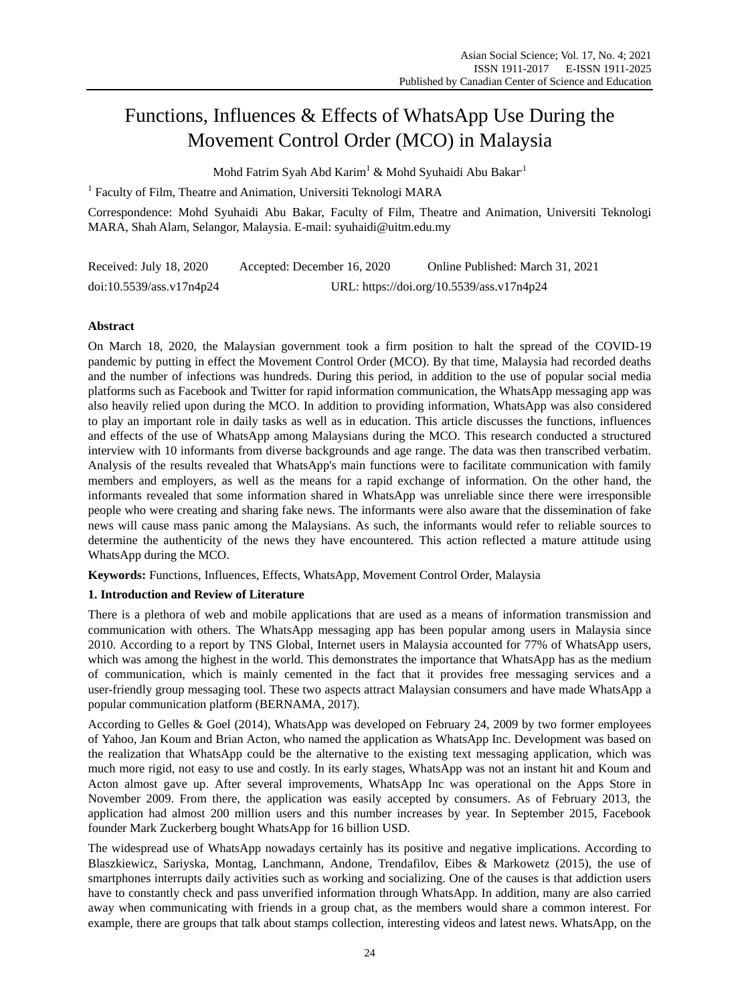# Functions, Influences & Effects of WhatsApp Use During the Movement Control Order (MCO) in Malaysia

Mohd Fatrim Syah Abd Karim<sup>1</sup> & Mohd Syuhaidi Abu Bakar<sup>1</sup>

<sup>1</sup> Faculty of Film, Theatre and Animation, Universiti Teknologi MARA

Correspondence: Mohd Syuhaidi Abu Bakar, Faculty of Film, Theatre and Animation, Universiti Teknologi MARA, Shah Alam, Selangor, Malaysia. E-mail: syuhaidi@uitm.edu.my

| Received: July 18, 2020  | Accepted: December 16, 2020               | Online Published: March 31, 2021 |
|--------------------------|-------------------------------------------|----------------------------------|
| doi:10.5539/ass.v17n4p24 | URL: https://doi.org/10.5539/ass.v17n4p24 |                                  |

# **Abstract**

On March 18, 2020, the Malaysian government took a firm position to halt the spread of the COVID-19 pandemic by putting in effect the Movement Control Order (MCO). By that time, Malaysia had recorded deaths and the number of infections was hundreds. During this period, in addition to the use of popular social media platforms such as Facebook and Twitter for rapid information communication, the WhatsApp messaging app was also heavily relied upon during the MCO. In addition to providing information, WhatsApp was also considered to play an important role in daily tasks as well as in education. This article discusses the functions, influences and effects of the use of WhatsApp among Malaysians during the MCO. This research conducted a structured interview with 10 informants from diverse backgrounds and age range. The data was then transcribed verbatim. Analysis of the results revealed that WhatsApp's main functions were to facilitate communication with family members and employers, as well as the means for a rapid exchange of information. On the other hand, the informants revealed that some information shared in WhatsApp was unreliable since there were irresponsible people who were creating and sharing fake news. The informants were also aware that the dissemination of fake news will cause mass panic among the Malaysians. As such, the informants would refer to reliable sources to determine the authenticity of the news they have encountered. This action reflected a mature attitude using WhatsApp during the MCO.

**Keywords:** Functions, Influences, Effects, WhatsApp, Movement Control Order, Malaysia

# **1. Introduction and Review of Literature**

There is a plethora of web and mobile applications that are used as a means of information transmission and communication with others. The WhatsApp messaging app has been popular among users in Malaysia since 2010. According to a report by TNS Global, Internet users in Malaysia accounted for 77% of WhatsApp users, which was among the highest in the world. This demonstrates the importance that WhatsApp has as the medium of communication, which is mainly cemented in the fact that it provides free messaging services and a user-friendly group messaging tool. These two aspects attract Malaysian consumers and have made WhatsApp a popular communication platform (BERNAMA, 2017).

According to Gelles & Goel (2014), WhatsApp was developed on February 24, 2009 by two former employees of Yahoo, Jan Koum and Brian Acton, who named the application as WhatsApp Inc. Development was based on the realization that WhatsApp could be the alternative to the existing text messaging application, which was much more rigid, not easy to use and costly. In its early stages, WhatsApp was not an instant hit and Koum and Acton almost gave up. After several improvements, WhatsApp Inc was operational on the Apps Store in November 2009. From there, the application was easily accepted by consumers. As of February 2013, the application had almost 200 million users and this number increases by year. In September 2015, Facebook founder Mark Zuckerberg bought WhatsApp for 16 billion USD.

The widespread use of WhatsApp nowadays certainly has its positive and negative implications. According to Blaszkiewicz, Sariyska, Montag, Lanchmann, Andone, Trendafilov, Eibes & Markowetz (2015), the use of smartphones interrupts daily activities such as working and socializing. One of the causes is that addiction users have to constantly check and pass unverified information through WhatsApp. In addition, many are also carried away when communicating with friends in a group chat, as the members would share a common interest. For example, there are groups that talk about stamps collection, interesting videos and latest news. WhatsApp, on the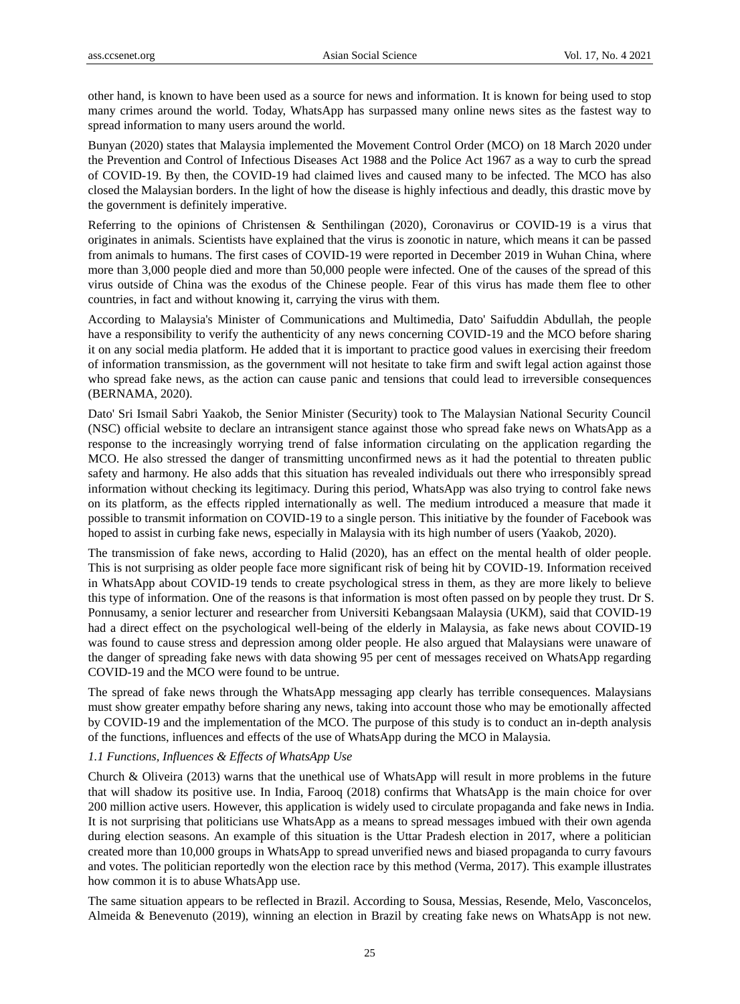other hand, is known to have been used as a source for news and information. It is known for being used to stop many crimes around the world. Today, WhatsApp has surpassed many online news sites as the fastest way to spread information to many users around the world.

Bunyan (2020) states that Malaysia implemented the Movement Control Order (MCO) on 18 March 2020 under the Prevention and Control of Infectious Diseases Act 1988 and the Police Act 1967 as a way to curb the spread of COVID-19. By then, the COVID-19 had claimed lives and caused many to be infected. The MCO has also closed the Malaysian borders. In the light of how the disease is highly infectious and deadly, this drastic move by the government is definitely imperative.

Referring to the opinions of Christensen & Senthilingan (2020), Coronavirus or COVID-19 is a virus that originates in animals. Scientists have explained that the virus is zoonotic in nature, which means it can be passed from animals to humans. The first cases of COVID-19 were reported in December 2019 in Wuhan China, where more than 3,000 people died and more than 50,000 people were infected. One of the causes of the spread of this virus outside of China was the exodus of the Chinese people. Fear of this virus has made them flee to other countries, in fact and without knowing it, carrying the virus with them.

According to Malaysia's Minister of Communications and Multimedia, Dato' Saifuddin Abdullah, the people have a responsibility to verify the authenticity of any news concerning COVID-19 and the MCO before sharing it on any social media platform. He added that it is important to practice good values in exercising their freedom of information transmission, as the government will not hesitate to take firm and swift legal action against those who spread fake news, as the action can cause panic and tensions that could lead to irreversible consequences (BERNAMA, 2020).

Dato' Sri Ismail Sabri Yaakob, the Senior Minister (Security) took to The Malaysian National Security Council (NSC) official website to declare an intransigent stance against those who spread fake news on WhatsApp as a response to the increasingly worrying trend of false information circulating on the application regarding the MCO. He also stressed the danger of transmitting unconfirmed news as it had the potential to threaten public safety and harmony. He also adds that this situation has revealed individuals out there who irresponsibly spread information without checking its legitimacy. During this period, WhatsApp was also trying to control fake news on its platform, as the effects rippled internationally as well. The medium introduced a measure that made it possible to transmit information on COVID-19 to a single person. This initiative by the founder of Facebook was hoped to assist in curbing fake news, especially in Malaysia with its high number of users (Yaakob, 2020).

The transmission of fake news, according to Halid (2020), has an effect on the mental health of older people. This is not surprising as older people face more significant risk of being hit by COVID-19. Information received in WhatsApp about COVID-19 tends to create psychological stress in them, as they are more likely to believe this type of information. One of the reasons is that information is most often passed on by people they trust. Dr S. Ponnusamy, a senior lecturer and researcher from Universiti Kebangsaan Malaysia (UKM), said that COVID-19 had a direct effect on the psychological well-being of the elderly in Malaysia, as fake news about COVID-19 was found to cause stress and depression among older people. He also argued that Malaysians were unaware of the danger of spreading fake news with data showing 95 per cent of messages received on WhatsApp regarding COVID-19 and the MCO were found to be untrue.

The spread of fake news through the WhatsApp messaging app clearly has terrible consequences. Malaysians must show greater empathy before sharing any news, taking into account those who may be emotionally affected by COVID-19 and the implementation of the MCO. The purpose of this study is to conduct an in-depth analysis of the functions, influences and effects of the use of WhatsApp during the MCO in Malaysia.

# *1.1 Functions, Influences & Effects of WhatsApp Use*

Church & Oliveira (2013) warns that the unethical use of WhatsApp will result in more problems in the future that will shadow its positive use. In India, Farooq (2018) confirms that WhatsApp is the main choice for over 200 million active users. However, this application is widely used to circulate propaganda and fake news in India. It is not surprising that politicians use WhatsApp as a means to spread messages imbued with their own agenda during election seasons. An example of this situation is the Uttar Pradesh election in 2017, where a politician created more than 10,000 groups in WhatsApp to spread unverified news and biased propaganda to curry favours and votes. The politician reportedly won the election race by this method (Verma, 2017). This example illustrates how common it is to abuse WhatsApp use.

The same situation appears to be reflected in Brazil. According to Sousa, Messias, Resende, Melo, Vasconcelos, Almeida & Benevenuto (2019), winning an election in Brazil by creating fake news on WhatsApp is not new.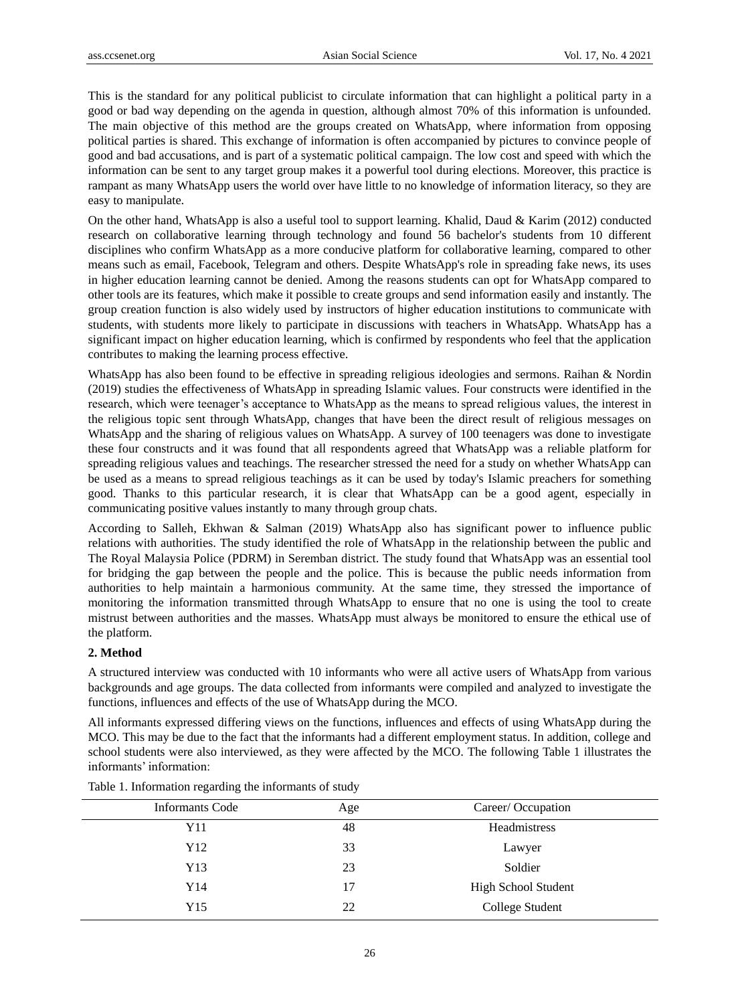This is the standard for any political publicist to circulate information that can highlight a political party in a good or bad way depending on the agenda in question, although almost 70% of this information is unfounded. The main objective of this method are the groups created on WhatsApp, where information from opposing political parties is shared. This exchange of information is often accompanied by pictures to convince people of good and bad accusations, and is part of a systematic political campaign. The low cost and speed with which the information can be sent to any target group makes it a powerful tool during elections. Moreover, this practice is rampant as many WhatsApp users the world over have little to no knowledge of information literacy, so they are easy to manipulate.

On the other hand, WhatsApp is also a useful tool to support learning. Khalid, Daud & Karim (2012) conducted research on collaborative learning through technology and found 56 bachelor's students from 10 different disciplines who confirm WhatsApp as a more conducive platform for collaborative learning, compared to other means such as email, Facebook, Telegram and others. Despite WhatsApp's role in spreading fake news, its uses in higher education learning cannot be denied. Among the reasons students can opt for WhatsApp compared to other tools are its features, which make it possible to create groups and send information easily and instantly. The group creation function is also widely used by instructors of higher education institutions to communicate with students, with students more likely to participate in discussions with teachers in WhatsApp. WhatsApp has a significant impact on higher education learning, which is confirmed by respondents who feel that the application contributes to making the learning process effective.

WhatsApp has also been found to be effective in spreading religious ideologies and sermons. Raihan & Nordin (2019) studies the effectiveness of WhatsApp in spreading Islamic values. Four constructs were identified in the research, which were teenager's acceptance to WhatsApp as the means to spread religious values, the interest in the religious topic sent through WhatsApp, changes that have been the direct result of religious messages on WhatsApp and the sharing of religious values on WhatsApp. A survey of 100 teenagers was done to investigate these four constructs and it was found that all respondents agreed that WhatsApp was a reliable platform for spreading religious values and teachings. The researcher stressed the need for a study on whether WhatsApp can be used as a means to spread religious teachings as it can be used by today's Islamic preachers for something good. Thanks to this particular research, it is clear that WhatsApp can be a good agent, especially in communicating positive values instantly to many through group chats.

According to Salleh, Ekhwan & Salman (2019) WhatsApp also has significant power to influence public relations with authorities. The study identified the role of WhatsApp in the relationship between the public and The Royal Malaysia Police (PDRM) in Seremban district. The study found that WhatsApp was an essential tool for bridging the gap between the people and the police. This is because the public needs information from authorities to help maintain a harmonious community. At the same time, they stressed the importance of monitoring the information transmitted through WhatsApp to ensure that no one is using the tool to create mistrust between authorities and the masses. WhatsApp must always be monitored to ensure the ethical use of the platform.

#### **2. Method**

A structured interview was conducted with 10 informants who were all active users of WhatsApp from various backgrounds and age groups. The data collected from informants were compiled and analyzed to investigate the functions, influences and effects of the use of WhatsApp during the MCO.

All informants expressed differing views on the functions, influences and effects of using WhatsApp during the MCO. This may be due to the fact that the informants had a different employment status. In addition, college and school students were also interviewed, as they were affected by the MCO. The following Table 1 illustrates the informants' information:

| <b>Informants Code</b> | Age | Career/Occupation   |
|------------------------|-----|---------------------|
| Y11                    | 48  | Headmistress        |
| Y12                    | 33  | Lawyer              |
| Y13                    | 23  | Soldier             |
| Y14                    | 17  | High School Student |
| Y15                    | 22  | College Student     |
|                        |     |                     |

Table 1. Information regarding the informants of study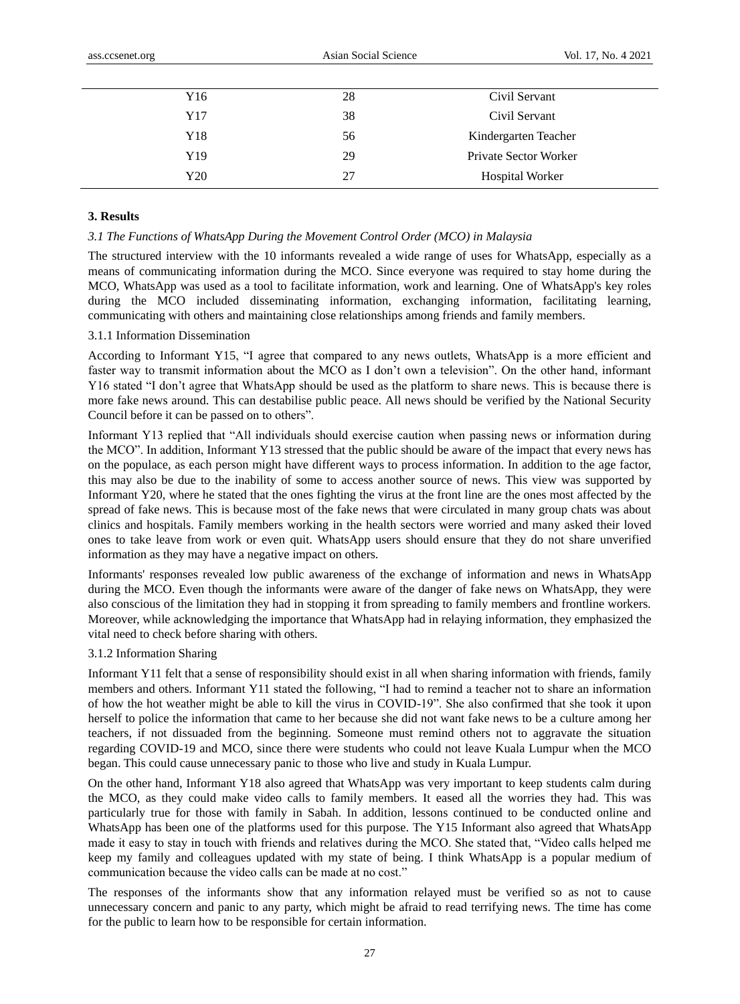| Y16 | 28 | Civil Servant                |
|-----|----|------------------------------|
| Y17 | 38 | Civil Servant                |
| Y18 | 56 | Kindergarten Teacher         |
| Y19 | 29 | <b>Private Sector Worker</b> |
| Y20 | 27 | <b>Hospital Worker</b>       |

#### **3. Results**

#### *3.1 The Functions of WhatsApp During the Movement Control Order (MCO) in Malaysia*

The structured interview with the 10 informants revealed a wide range of uses for WhatsApp, especially as a means of communicating information during the MCO. Since everyone was required to stay home during the MCO, WhatsApp was used as a tool to facilitate information, work and learning. One of WhatsApp's key roles during the MCO included disseminating information, exchanging information, facilitating learning, communicating with others and maintaining close relationships among friends and family members.

## 3.1.1 Information Dissemination

According to Informant Y15, "I agree that compared to any news outlets, WhatsApp is a more efficient and faster way to transmit information about the MCO as I don't own a television". On the other hand, informant Y16 stated "I don't agree that WhatsApp should be used as the platform to share news. This is because there is more fake news around. This can destabilise public peace. All news should be verified by the National Security Council before it can be passed on to others".

Informant Y13 replied that "All individuals should exercise caution when passing news or information during the MCO". In addition, Informant Y13 stressed that the public should be aware of the impact that every news has on the populace, as each person might have different ways to process information. In addition to the age factor, this may also be due to the inability of some to access another source of news. This view was supported by Informant Y20, where he stated that the ones fighting the virus at the front line are the ones most affected by the spread of fake news. This is because most of the fake news that were circulated in many group chats was about clinics and hospitals. Family members working in the health sectors were worried and many asked their loved ones to take leave from work or even quit. WhatsApp users should ensure that they do not share unverified information as they may have a negative impact on others.

Informants' responses revealed low public awareness of the exchange of information and news in WhatsApp during the MCO. Even though the informants were aware of the danger of fake news on WhatsApp, they were also conscious of the limitation they had in stopping it from spreading to family members and frontline workers. Moreover, while acknowledging the importance that WhatsApp had in relaying information, they emphasized the vital need to check before sharing with others.

## 3.1.2 Information Sharing

Informant Y11 felt that a sense of responsibility should exist in all when sharing information with friends, family members and others. Informant Y11 stated the following, "I had to remind a teacher not to share an information of how the hot weather might be able to kill the virus in COVID-19". She also confirmed that she took it upon herself to police the information that came to her because she did not want fake news to be a culture among her teachers, if not dissuaded from the beginning. Someone must remind others not to aggravate the situation regarding COVID-19 and MCO, since there were students who could not leave Kuala Lumpur when the MCO began. This could cause unnecessary panic to those who live and study in Kuala Lumpur.

On the other hand, Informant Y18 also agreed that WhatsApp was very important to keep students calm during the MCO, as they could make video calls to family members. It eased all the worries they had. This was particularly true for those with family in Sabah. In addition, lessons continued to be conducted online and WhatsApp has been one of the platforms used for this purpose. The Y15 Informant also agreed that WhatsApp made it easy to stay in touch with friends and relatives during the MCO. She stated that, "Video calls helped me keep my family and colleagues updated with my state of being. I think WhatsApp is a popular medium of communication because the video calls can be made at no cost."

The responses of the informants show that any information relayed must be verified so as not to cause unnecessary concern and panic to any party, which might be afraid to read terrifying news. The time has come for the public to learn how to be responsible for certain information.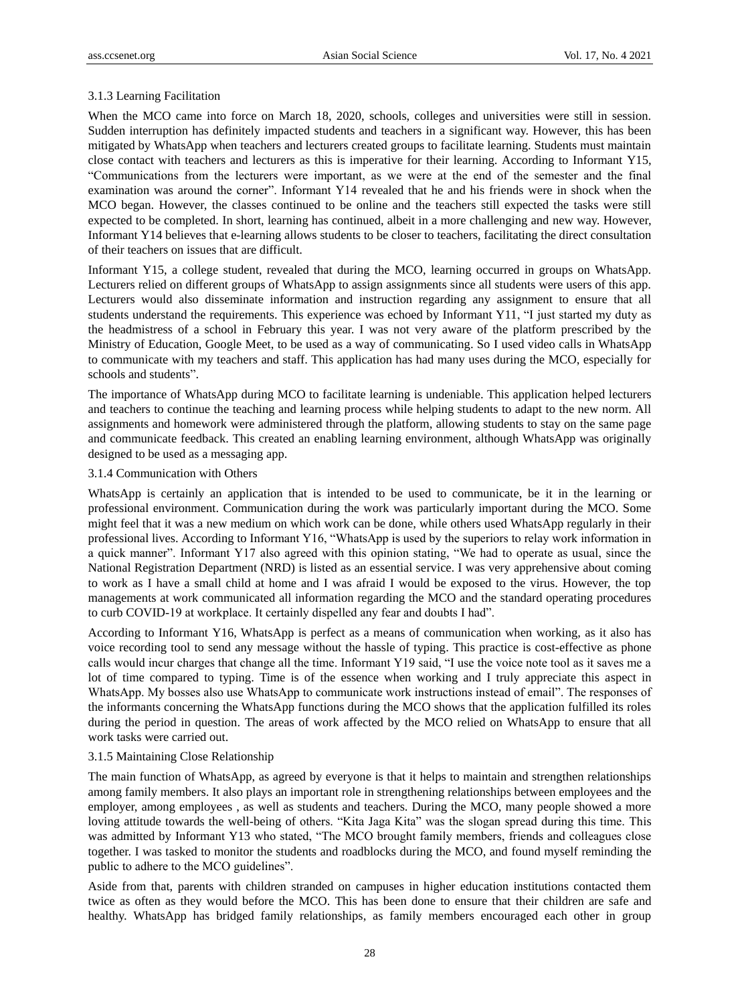## 3.1.3 Learning Facilitation

When the MCO came into force on March 18, 2020, schools, colleges and universities were still in session. Sudden interruption has definitely impacted students and teachers in a significant way. However, this has been mitigated by WhatsApp when teachers and lecturers created groups to facilitate learning. Students must maintain close contact with teachers and lecturers as this is imperative for their learning. According to Informant Y15, "Communications from the lecturers were important, as we were at the end of the semester and the final examination was around the corner". Informant Y14 revealed that he and his friends were in shock when the MCO began. However, the classes continued to be online and the teachers still expected the tasks were still expected to be completed. In short, learning has continued, albeit in a more challenging and new way. However, Informant Y14 believes that e-learning allows students to be closer to teachers, facilitating the direct consultation of their teachers on issues that are difficult.

Informant Y15, a college student, revealed that during the MCO, learning occurred in groups on WhatsApp. Lecturers relied on different groups of WhatsApp to assign assignments since all students were users of this app. Lecturers would also disseminate information and instruction regarding any assignment to ensure that all students understand the requirements. This experience was echoed by Informant Y11, "I just started my duty as the headmistress of a school in February this year. I was not very aware of the platform prescribed by the Ministry of Education, Google Meet, to be used as a way of communicating. So I used video calls in WhatsApp to communicate with my teachers and staff. This application has had many uses during the MCO, especially for schools and students".

The importance of WhatsApp during MCO to facilitate learning is undeniable. This application helped lecturers and teachers to continue the teaching and learning process while helping students to adapt to the new norm. All assignments and homework were administered through the platform, allowing students to stay on the same page and communicate feedback. This created an enabling learning environment, although WhatsApp was originally designed to be used as a messaging app.

#### 3.1.4 Communication with Others

WhatsApp is certainly an application that is intended to be used to communicate, be it in the learning or professional environment. Communication during the work was particularly important during the MCO. Some might feel that it was a new medium on which work can be done, while others used WhatsApp regularly in their professional lives. According to Informant Y16, "WhatsApp is used by the superiors to relay work information in a quick manner". Informant Y17 also agreed with this opinion stating, "We had to operate as usual, since the National Registration Department (NRD) is listed as an essential service. I was very apprehensive about coming to work as I have a small child at home and I was afraid I would be exposed to the virus. However, the top managements at work communicated all information regarding the MCO and the standard operating procedures to curb COVID-19 at workplace. It certainly dispelled any fear and doubts I had".

According to Informant Y16, WhatsApp is perfect as a means of communication when working, as it also has voice recording tool to send any message without the hassle of typing. This practice is cost-effective as phone calls would incur charges that change all the time. Informant Y19 said, "I use the voice note tool as it saves me a lot of time compared to typing. Time is of the essence when working and I truly appreciate this aspect in WhatsApp. My bosses also use WhatsApp to communicate work instructions instead of email". The responses of the informants concerning the WhatsApp functions during the MCO shows that the application fulfilled its roles during the period in question. The areas of work affected by the MCO relied on WhatsApp to ensure that all work tasks were carried out.

#### 3.1.5 Maintaining Close Relationship

The main function of WhatsApp, as agreed by everyone is that it helps to maintain and strengthen relationships among family members. It also plays an important role in strengthening relationships between employees and the employer, among employees , as well as students and teachers. During the MCO, many people showed a more loving attitude towards the well-being of others. "Kita Jaga Kita" was the slogan spread during this time. This was admitted by Informant Y13 who stated, "The MCO brought family members, friends and colleagues close together. I was tasked to monitor the students and roadblocks during the MCO, and found myself reminding the public to adhere to the MCO guidelines".

Aside from that, parents with children stranded on campuses in higher education institutions contacted them twice as often as they would before the MCO. This has been done to ensure that their children are safe and healthy. WhatsApp has bridged family relationships, as family members encouraged each other in group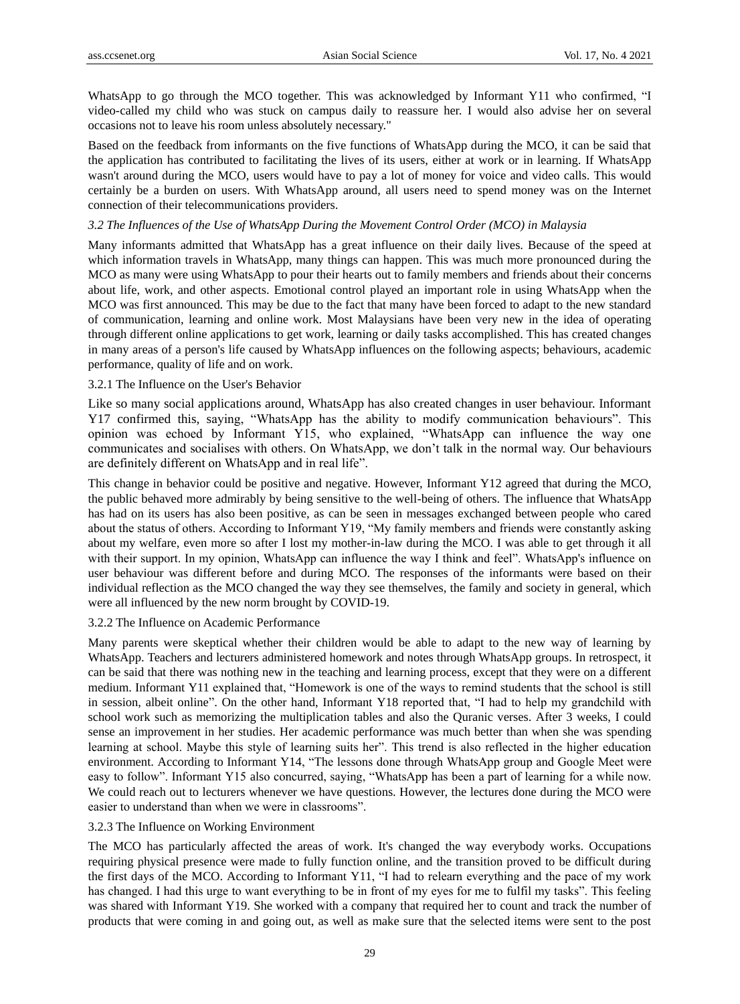WhatsApp to go through the MCO together. This was acknowledged by Informant Y11 who confirmed, "I video-called my child who was stuck on campus daily to reassure her. I would also advise her on several occasions not to leave his room unless absolutely necessary."

Based on the feedback from informants on the five functions of WhatsApp during the MCO, it can be said that the application has contributed to facilitating the lives of its users, either at work or in learning. If WhatsApp wasn't around during the MCO, users would have to pay a lot of money for voice and video calls. This would certainly be a burden on users. With WhatsApp around, all users need to spend money was on the Internet connection of their telecommunications providers.

#### *3.2 The Influences of the Use of WhatsApp During the Movement Control Order (MCO) in Malaysia*

Many informants admitted that WhatsApp has a great influence on their daily lives. Because of the speed at which information travels in WhatsApp, many things can happen. This was much more pronounced during the MCO as many were using WhatsApp to pour their hearts out to family members and friends about their concerns about life, work, and other aspects. Emotional control played an important role in using WhatsApp when the MCO was first announced. This may be due to the fact that many have been forced to adapt to the new standard of communication, learning and online work. Most Malaysians have been very new in the idea of operating through different online applications to get work, learning or daily tasks accomplished. This has created changes in many areas of a person's life caused by WhatsApp influences on the following aspects; behaviours, academic performance, quality of life and on work.

## 3.2.1 The Influence on the User's Behavior

Like so many social applications around, WhatsApp has also created changes in user behaviour. Informant Y17 confirmed this, saying, "WhatsApp has the ability to modify communication behaviours". This opinion was echoed by Informant Y15, who explained, "WhatsApp can influence the way one communicates and socialises with others. On WhatsApp, we don't talk in the normal way. Our behaviours are definitely different on WhatsApp and in real life".

This change in behavior could be positive and negative. However, Informant Y12 agreed that during the MCO, the public behaved more admirably by being sensitive to the well-being of others. The influence that WhatsApp has had on its users has also been positive, as can be seen in messages exchanged between people who cared about the status of others. According to Informant Y19, "My family members and friends were constantly asking about my welfare, even more so after I lost my mother-in-law during the MCO. I was able to get through it all with their support. In my opinion, WhatsApp can influence the way I think and feel". WhatsApp's influence on user behaviour was different before and during MCO. The responses of the informants were based on their individual reflection as the MCO changed the way they see themselves, the family and society in general, which were all influenced by the new norm brought by COVID-19.

#### 3.2.2 The Influence on Academic Performance

Many parents were skeptical whether their children would be able to adapt to the new way of learning by WhatsApp. Teachers and lecturers administered homework and notes through WhatsApp groups. In retrospect, it can be said that there was nothing new in the teaching and learning process, except that they were on a different medium. Informant Y11 explained that, "Homework is one of the ways to remind students that the school is still in session, albeit online". On the other hand, Informant Y18 reported that, "I had to help my grandchild with school work such as memorizing the multiplication tables and also the Quranic verses. After 3 weeks, I could sense an improvement in her studies. Her academic performance was much better than when she was spending learning at school. Maybe this style of learning suits her". This trend is also reflected in the higher education environment. According to Informant Y14, "The lessons done through WhatsApp group and Google Meet were easy to follow". Informant Y15 also concurred, saying, "WhatsApp has been a part of learning for a while now. We could reach out to lecturers whenever we have questions. However, the lectures done during the MCO were easier to understand than when we were in classrooms".

#### 3.2.3 The Influence on Working Environment

The MCO has particularly affected the areas of work. It's changed the way everybody works. Occupations requiring physical presence were made to fully function online, and the transition proved to be difficult during the first days of the MCO. According to Informant Y11, "I had to relearn everything and the pace of my work has changed. I had this urge to want everything to be in front of my eyes for me to fulfil my tasks". This feeling was shared with Informant Y19. She worked with a company that required her to count and track the number of products that were coming in and going out, as well as make sure that the selected items were sent to the post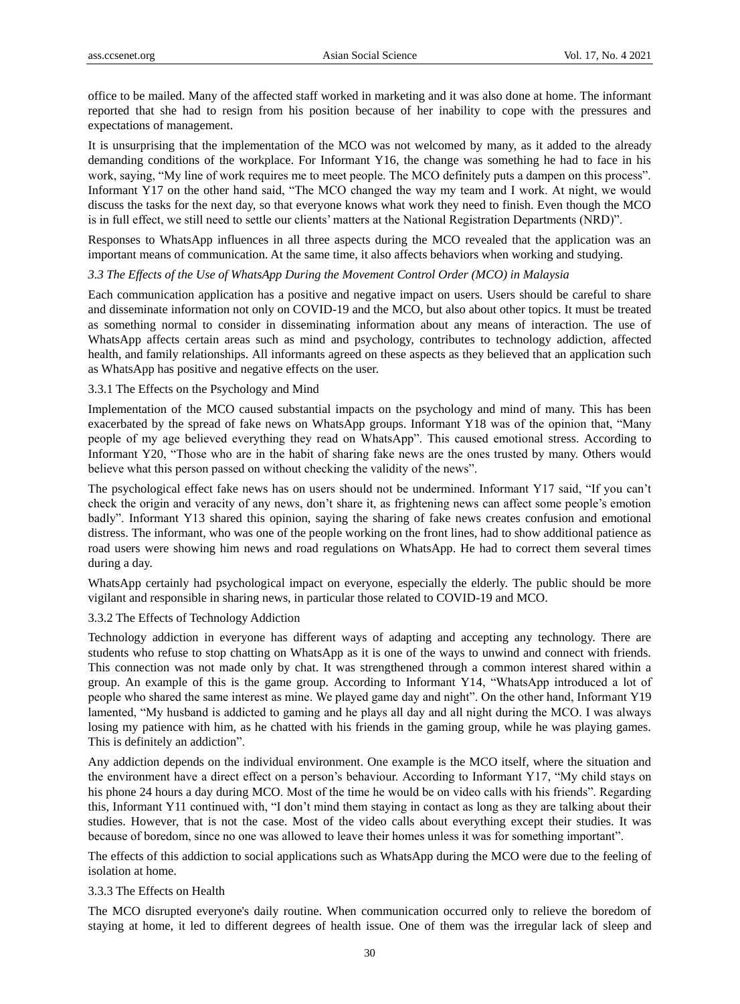office to be mailed. Many of the affected staff worked in marketing and it was also done at home. The informant reported that she had to resign from his position because of her inability to cope with the pressures and expectations of management.

It is unsurprising that the implementation of the MCO was not welcomed by many, as it added to the already demanding conditions of the workplace. For Informant Y16, the change was something he had to face in his work, saying, "My line of work requires me to meet people. The MCO definitely puts a dampen on this process". Informant Y17 on the other hand said, "The MCO changed the way my team and I work. At night, we would discuss the tasks for the next day, so that everyone knows what work they need to finish. Even though the MCO is in full effect, we still need to settle our clients' matters at the National Registration Departments (NRD)".

Responses to WhatsApp influences in all three aspects during the MCO revealed that the application was an important means of communication. At the same time, it also affects behaviors when working and studying.

## *3.3 The Effects of the Use of WhatsApp During the Movement Control Order (MCO) in Malaysia*

Each communication application has a positive and negative impact on users. Users should be careful to share and disseminate information not only on COVID-19 and the MCO, but also about other topics. It must be treated as something normal to consider in disseminating information about any means of interaction. The use of WhatsApp affects certain areas such as mind and psychology, contributes to technology addiction, affected health, and family relationships. All informants agreed on these aspects as they believed that an application such as WhatsApp has positive and negative effects on the user.

#### 3.3.1 The Effects on the Psychology and Mind

Implementation of the MCO caused substantial impacts on the psychology and mind of many. This has been exacerbated by the spread of fake news on WhatsApp groups. Informant Y18 was of the opinion that, "Many people of my age believed everything they read on WhatsApp". This caused emotional stress. According to Informant Y20, "Those who are in the habit of sharing fake news are the ones trusted by many. Others would believe what this person passed on without checking the validity of the news".

The psychological effect fake news has on users should not be undermined. Informant Y17 said, "If you can't check the origin and veracity of any news, don't share it, as frightening news can affect some people's emotion badly". Informant Y13 shared this opinion, saying the sharing of fake news creates confusion and emotional distress. The informant, who was one of the people working on the front lines, had to show additional patience as road users were showing him news and road regulations on WhatsApp. He had to correct them several times during a day.

WhatsApp certainly had psychological impact on everyone, especially the elderly. The public should be more vigilant and responsible in sharing news, in particular those related to COVID-19 and MCO.

#### 3.3.2 The Effects of Technology Addiction

Technology addiction in everyone has different ways of adapting and accepting any technology. There are students who refuse to stop chatting on WhatsApp as it is one of the ways to unwind and connect with friends. This connection was not made only by chat. It was strengthened through a common interest shared within a group. An example of this is the game group. According to Informant Y14, "WhatsApp introduced a lot of people who shared the same interest as mine. We played game day and night". On the other hand, Informant Y19 lamented, "My husband is addicted to gaming and he plays all day and all night during the MCO. I was always losing my patience with him, as he chatted with his friends in the gaming group, while he was playing games. This is definitely an addiction".

Any addiction depends on the individual environment. One example is the MCO itself, where the situation and the environment have a direct effect on a person's behaviour. According to Informant Y17, "My child stays on his phone 24 hours a day during MCO. Most of the time he would be on video calls with his friends". Regarding this, Informant Y11 continued with, "I don't mind them staying in contact as long as they are talking about their studies. However, that is not the case. Most of the video calls about everything except their studies. It was because of boredom, since no one was allowed to leave their homes unless it was for something important".

The effects of this addiction to social applications such as WhatsApp during the MCO were due to the feeling of isolation at home.

#### 3.3.3 The Effects on Health

The MCO disrupted everyone's daily routine. When communication occurred only to relieve the boredom of staying at home, it led to different degrees of health issue. One of them was the irregular lack of sleep and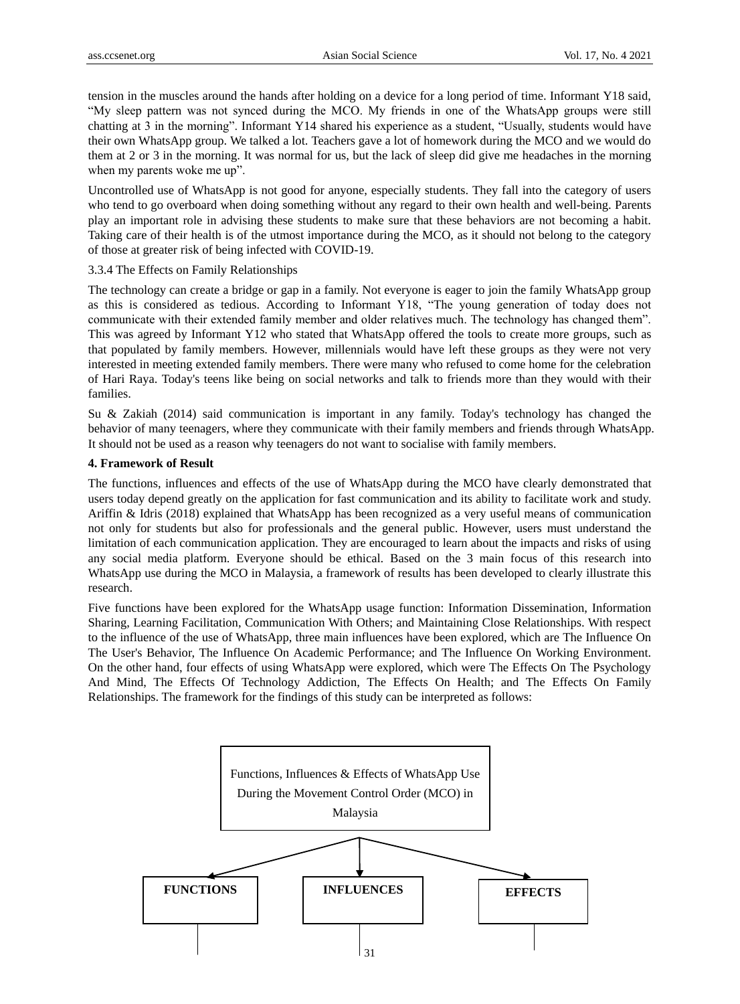tension in the muscles around the hands after holding on a device for a long period of time. Informant Y18 said, "My sleep pattern was not synced during the MCO. My friends in one of the WhatsApp groups were still chatting at 3 in the morning". Informant Y14 shared his experience as a student, "Usually, students would have their own WhatsApp group. We talked a lot. Teachers gave a lot of homework during the MCO and we would do them at 2 or 3 in the morning. It was normal for us, but the lack of sleep did give me headaches in the morning when my parents woke me up".

Uncontrolled use of WhatsApp is not good for anyone, especially students. They fall into the category of users who tend to go overboard when doing something without any regard to their own health and well-being. Parents play an important role in advising these students to make sure that these behaviors are not becoming a habit. Taking care of their health is of the utmost importance during the MCO, as it should not belong to the category of those at greater risk of being infected with COVID-19.

3.3.4 The Effects on Family Relationships

The technology can create a bridge or gap in a family. Not everyone is eager to join the family WhatsApp group as this is considered as tedious. According to Informant Y18, "The young generation of today does not communicate with their extended family member and older relatives much. The technology has changed them". This was agreed by Informant Y12 who stated that WhatsApp offered the tools to create more groups, such as that populated by family members. However, millennials would have left these groups as they were not very interested in meeting extended family members. There were many who refused to come home for the celebration of Hari Raya. Today's teens like being on social networks and talk to friends more than they would with their families.

Su & Zakiah (2014) said communication is important in any family. Today's technology has changed the behavior of many teenagers, where they communicate with their family members and friends through WhatsApp. It should not be used as a reason why teenagers do not want to socialise with family members.

# **4. Framework of Result**

The functions, influences and effects of the use of WhatsApp during the MCO have clearly demonstrated that users today depend greatly on the application for fast communication and its ability to facilitate work and study. Ariffin & Idris (2018) explained that WhatsApp has been recognized as a very useful means of communication not only for students but also for professionals and the general public. However, users must understand the limitation of each communication application. They are encouraged to learn about the impacts and risks of using any social media platform. Everyone should be ethical. Based on the 3 main focus of this research into WhatsApp use during the MCO in Malaysia, a framework of results has been developed to clearly illustrate this research.

Five functions have been explored for the WhatsApp usage function: Information Dissemination, Information Sharing, Learning Facilitation, Communication With Others; and Maintaining Close Relationships. With respect to the influence of the use of WhatsApp, three main influences have been explored, which are The Influence On The User's Behavior, The Influence On Academic Performance; and The Influence On Working Environment. On the other hand, four effects of using WhatsApp were explored, which were The Effects On The Psychology And Mind, The Effects Of Technology Addiction, The Effects On Health; and The Effects On Family Relationships. The framework for the findings of this study can be interpreted as follows:

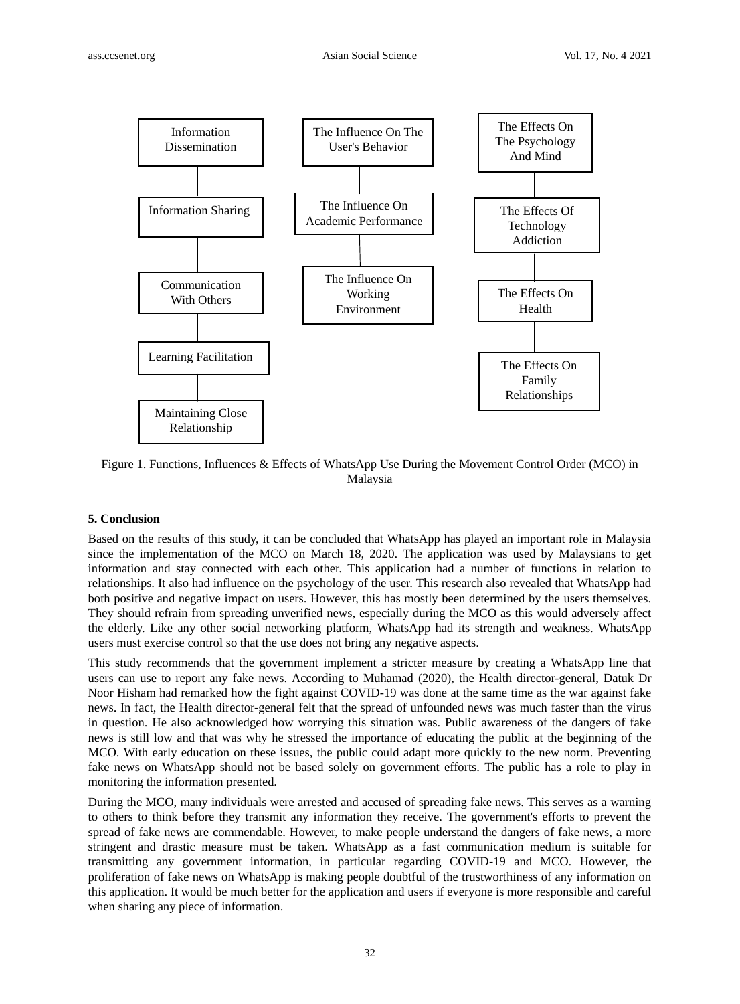

Figure 1. Functions, Influences & Effects of WhatsApp Use During the Movement Control Order (MCO) in Malaysia

# **5. Conclusion**

Based on the results of this study, it can be concluded that WhatsApp has played an important role in Malaysia since the implementation of the MCO on March 18, 2020. The application was used by Malaysians to get information and stay connected with each other. This application had a number of functions in relation to relationships. It also had influence on the psychology of the user. This research also revealed that WhatsApp had both positive and negative impact on users. However, this has mostly been determined by the users themselves. They should refrain from spreading unverified news, especially during the MCO as this would adversely affect the elderly. Like any other social networking platform, WhatsApp had its strength and weakness. WhatsApp users must exercise control so that the use does not bring any negative aspects.

This study recommends that the government implement a stricter measure by creating a WhatsApp line that users can use to report any fake news. According to Muhamad (2020), the Health director-general, Datuk Dr Noor Hisham had remarked how the fight against COVID-19 was done at the same time as the war against fake news. In fact, the Health director-general felt that the spread of unfounded news was much faster than the virus in question. He also acknowledged how worrying this situation was. Public awareness of the dangers of fake news is still low and that was why he stressed the importance of educating the public at the beginning of the MCO. With early education on these issues, the public could adapt more quickly to the new norm. Preventing fake news on WhatsApp should not be based solely on government efforts. The public has a role to play in monitoring the information presented.

During the MCO, many individuals were arrested and accused of spreading fake news. This serves as a warning to others to think before they transmit any information they receive. The government's efforts to prevent the spread of fake news are commendable. However, to make people understand the dangers of fake news, a more stringent and drastic measure must be taken. WhatsApp as a fast communication medium is suitable for transmitting any government information, in particular regarding COVID-19 and MCO. However, the proliferation of fake news on WhatsApp is making people doubtful of the trustworthiness of any information on this application. It would be much better for the application and users if everyone is more responsible and careful when sharing any piece of information.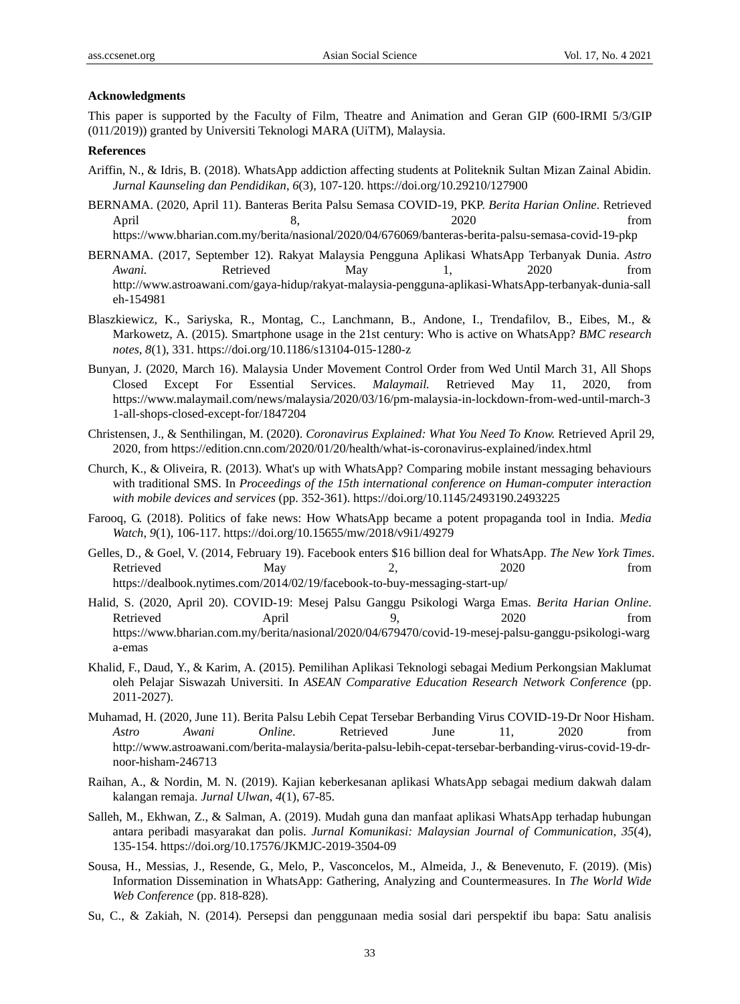#### **Acknowledgments**

This paper is supported by the Faculty of Film, Theatre and Animation and Geran GIP (600-IRMI 5/3/GIP (011/2019)) granted by Universiti Teknologi MARA (UiTM), Malaysia.

## **References**

- Ariffin, N., & Idris, B. (2018). WhatsApp addiction affecting students at Politeknik Sultan Mizan Zainal Abidin. *Jurnal Kaunseling dan Pendidikan*, *6*(3), 107-120. https://doi.org/10.29210/127900
- BERNAMA. (2020, April 11). Banteras Berita Palsu Semasa COVID-19, PKP. *Berita Harian Online*. Retrieved April 8, 8, 2020 from <https://www.bharian.com.my/berita/nasional/2020/04/676069/banteras-berita-palsu-semasa-covid-19-pkp>
- BERNAMA. (2017, September 12). Rakyat Malaysia Pengguna Aplikasi WhatsApp Terbanyak Dunia. *Astro Awani.* Retrieved May 1, 2020 from [http://www.astroawani.com/gaya-hidup/rakyat-malaysia-pengguna-aplikasi-WhatsApp-terbanyak-dunia-sall](http://www.astroawani.com/gaya-hidup/rakyat-malaysia-pengguna-aplikasi-whatsapp-terbanyak-dunia-salleh-154981) [eh-154981](http://www.astroawani.com/gaya-hidup/rakyat-malaysia-pengguna-aplikasi-whatsapp-terbanyak-dunia-salleh-154981)
- Blaszkiewicz, K., Sariyska, R., Montag, C., Lanchmann, B., Andone, I., Trendafilov, B., Eibes, M., & Markowetz, A. (2015). Smartphone usage in the 21st century: Who is active on WhatsApp? *BMC research notes*, *8*(1), 331. https://doi.org/10.1186/s13104-015-1280-z
- Bunyan, J. (2020, March 16). Malaysia Under Movement Control Order from Wed Until March 31, All Shops Closed Except For Essential Services. *Malaymail.* Retrieved May 11, 2020, from [https://www.malaymail.com/news/malaysia/2020/03/16/pm-malaysia-in-lockdown-from-wed-until-march-3](https://www.malaymail.com/news/malaysia/2020/03/16/pm-malaysia-in-lockdown-from-wed-until-march-31-all-shops-closed-except-for/1847204) [1-all-shops-closed-except-for/1847204](https://www.malaymail.com/news/malaysia/2020/03/16/pm-malaysia-in-lockdown-from-wed-until-march-31-all-shops-closed-except-for/1847204)
- Christensen, J., & Senthilingan, M. (2020). *Coronavirus Explained: What You Need To Know.* Retrieved April 29, 2020, from<https://edition.cnn.com/2020/01/20/health/what-is-coronavirus-explained/index.html>
- Church, K., & Oliveira, R. (2013). What's up with WhatsApp? Comparing mobile instant messaging behaviours with traditional SMS. In *Proceedings of the 15th international conference on Human-computer interaction with mobile devices and services* (pp. 352-361). https://doi.org/10.1145/2493190.2493225
- Farooq, G. (2018). Politics of fake news: How WhatsApp became a potent propaganda tool in India. *Media Watch*, *9*(1), 106-117. https://doi.org/10.15655/mw/2018/v9i1/49279
- Gelles, D., & Goel, V. (2014, February 19). Facebook enters \$16 billion deal for WhatsApp. *The New York Times*. Retrieved May 12, 2020 from https://dealbook.nytimes.com/2014/02/19/facebook-to-buy-messaging-start-up/
- Halid, S. (2020, April 20). COVID-19: Mesej Palsu Ganggu Psikologi Warga Emas. *Berita Harian Online*. Retrieved April 9, 2020 from [https://www.bharian.com.my/berita/nasional/2020/04/679470/covid-19-mesej-palsu-ganggu-psikologi-warg](https://www.bharian.com.my/berita/nasional/2020/04/679470/covid-19-mesej-palsu-ganggu-psikologi-warga-emas) [a-emas](https://www.bharian.com.my/berita/nasional/2020/04/679470/covid-19-mesej-palsu-ganggu-psikologi-warga-emas)
- Khalid, F., Daud, Y., & Karim, A. (2015). Pemilihan Aplikasi Teknologi sebagai Medium Perkongsian Maklumat oleh Pelajar Siswazah Universiti. In *ASEAN Comparative Education Research Network Conference* (pp. 2011-2027).
- Muhamad, H. (2020, June 11). Berita Palsu Lebih Cepat Tersebar Berbanding Virus COVID-19-Dr Noor Hisham. *Astro Awani Online*. Retrieved June 11, 2020 from [http://www.astroawani.com/berita-malaysia/berita-palsu-lebih-cepat-tersebar-berbanding-virus-covid-19-dr](http://www.astroawani.com/berita-malaysia/berita-palsu-lebih-cepat-tersebar-berbanding-virus-covid-19-dr-noor-hisham-246713)[noor-hisham-246713](http://www.astroawani.com/berita-malaysia/berita-palsu-lebih-cepat-tersebar-berbanding-virus-covid-19-dr-noor-hisham-246713)
- Raihan, A., & Nordin, M. N. (2019). Kajian keberkesanan aplikasi WhatsApp sebagai medium dakwah dalam kalangan remaja. *Jurnal Ulwan*, *4*(1), 67-85.
- Salleh, M., Ekhwan, Z., & Salman, A. (2019). Mudah guna dan manfaat aplikasi WhatsApp terhadap hubungan antara peribadi masyarakat dan polis. *Jurnal Komunikasi: Malaysian Journal of Communication*, *35*(4), 135-154. https://doi.org/10.17576/JKMJC-2019-3504-09
- Sousa, H., Messias, J., Resende, G., Melo, P., Vasconcelos, M., Almeida, J., & Benevenuto, F. (2019). (Mis) Information Dissemination in WhatsApp: Gathering, Analyzing and Countermeasures. In *The World Wide Web Conference* (pp. 818-828).
- Su, C., & Zakiah, N. (2014). Persepsi dan penggunaan media sosial dari perspektif ibu bapa: Satu analisis